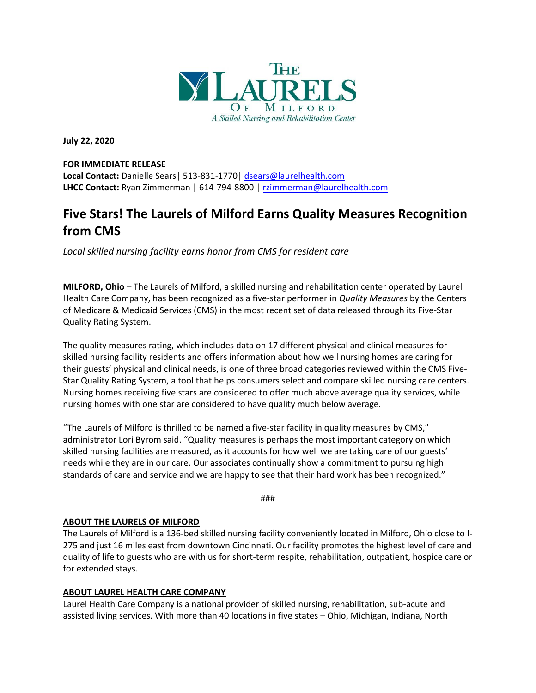

**July 22, 2020**

### **FOR IMMEDIATE RELEASE**

**Local Contact:** Danielle Sears| 513-831-1770| [dsears@laurelhealth.com](mailto:dsears@laurelhealth.com) **LHCC Contact:** Ryan Zimmerman | 614-794-8800 | [rzimmerman@laurelhealth.com](mailto:rzimmerman@laurelhealth.com)

# **Five Stars! The Laurels of Milford Earns Quality Measures Recognition from CMS**

*Local skilled nursing facility earns honor from CMS for resident care*

**MILFORD, Ohio** – The Laurels of Milford, a skilled nursing and rehabilitation center operated by Laurel Health Care Company, has been recognized as a five-star performer in *Quality Measures* by the Centers of Medicare & Medicaid Services (CMS) in the most recent set of data released through its Five-Star Quality Rating System.

The quality measures rating, which includes data on 17 different physical and clinical measures for skilled nursing facility residents and offers information about how well nursing homes are caring for their guests' physical and clinical needs, is one of three broad categories reviewed within the CMS Five-Star Quality Rating System, a tool that helps consumers select and compare skilled nursing care centers. Nursing homes receiving five stars are considered to offer much above average quality services, while nursing homes with one star are considered to have quality much below average.

"The Laurels of Milford is thrilled to be named a five-star facility in quality measures by CMS," administrator Lori Byrom said. "Quality measures is perhaps the most important category on which skilled nursing facilities are measured, as it accounts for how well we are taking care of our guests' needs while they are in our care. Our associates continually show a commitment to pursuing high standards of care and service and we are happy to see that their hard work has been recognized."

###

# **ABOUT THE LAURELS OF MILFORD**

The Laurels of Milford is a 136-bed skilled nursing facility conveniently located in Milford, Ohio close to I-275 and just 16 miles east from downtown Cincinnati. Our facility promotes the highest level of care and quality of life to guests who are with us for short-term respite, rehabilitation, outpatient, hospice care or for extended stays.

# **ABOUT LAUREL HEALTH CARE COMPANY**

Laurel Health Care Company is a national provider of skilled nursing, rehabilitation, sub-acute and assisted living services. With more than 40 locations in five states – Ohio, Michigan, Indiana, North